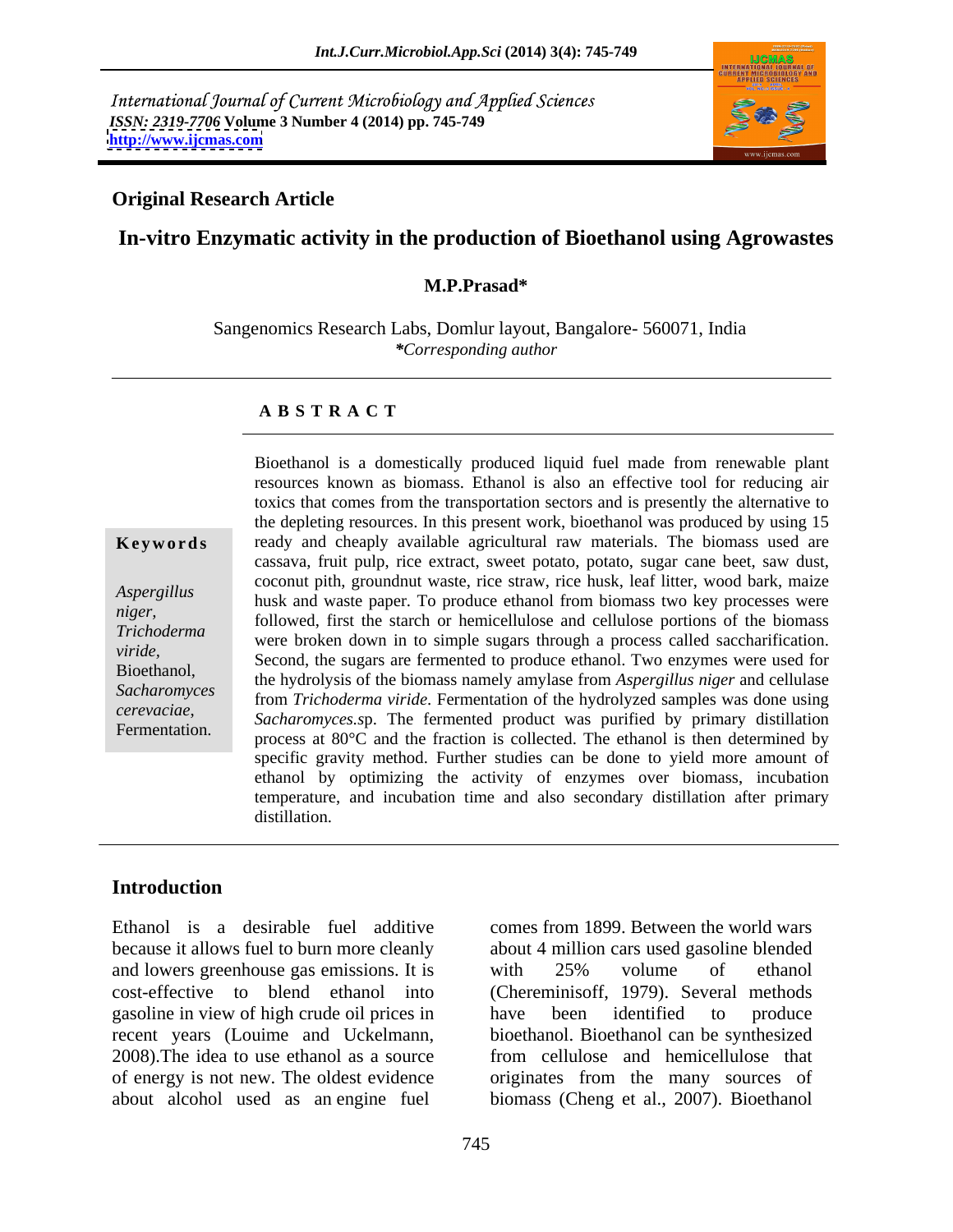International Journal of Current Microbiology and Applied Sciences *ISSN: 2319-7706* **Volume 3 Number 4 (2014) pp. 745-749 <http://www.ijcmas.com>**



## **Original Research Article**

## **In-vitro Enzymatic activity in the production of Bioethanol using Agrowastes**

### **M.P.Prasad\***

Sangenomics Research Labs, Domlur layout, Bangalore- 560071, India *\*Corresponding author*

### **A B S T R A C T**

**Keywords** ready and cheaply available agricultural raw materials. The biomass used are *Aspergillus*<br>husk and waste paper. To produce ethanol from biomass two key processes were *niger,*<br>
followed, first the starch or hemicellulose and cellulose portions of the biomass *Trichoderma* were broken down in to simple sugars through a process called saccharification. *viride,*<br>
Second, the sugars are fermented to produce ethanol. Two enzymes were used for Bioethanol,<br>Second, the hydrolysis of the biomass namely amylase from *Aspergillus niger* and cellulase *Sacharomyces*  from *Trichoderma viride*. Fermentation of the hydrolyzed samples wasdone using *cerevaciae*, *Sacharomyces.sp.* The fermented product was purified by primary distillation<br>Fermentation. **Francescopy** and the fraction is collected. The otheral is then determined by Bioethanol is a domestically produced liquid fuel made from renewable plant resources known as biomass. Ethanol is also an effective tool for reducing air toxics that comes from the transportation sectors and is presently the alternative to the depleting resources. In this present work, bioethanol was produced by using 15 cassava, fruit pulp, rice extract, sweet potato, potato, sugar cane beet, saw dust, coconut pith, groundnut waste, rice straw, rice husk, leaf litter, wood bark, maize process at 80°C and the fraction is collected. The ethanol is then determined by specific gravity method. Further studies can be done to yield more amount of ethanol by optimizing the activity of enzymes over biomass, incubation temperature, and incubation time and also secondary distillation after primary distillation.

## **Introduction**

Ethanol is a desirable fuel additive comes from 1899. Between the world wars because it allows fuel to burn more cleanly about 4 million cars used gasoline blended and lowers greenhouse gas emissions. It is with 25% volume of ethanol cost-effective to blend ethanol into (Chereminisoff, 1979). Several methods gasoline in view of high crude oil prices in recent years (Louime and Uckelmann, 2008). The idea to use ethanol as a source of energy is not new. The oldest evidence originates from the many sources of

about alcohol used as an engine fuel biomass (Cheng et al., 2007). Bioethanol with 25% volume of ethanol have been identified to produce bioethanol. Bioethanol can be synthesized from cellulose and hemicellulose that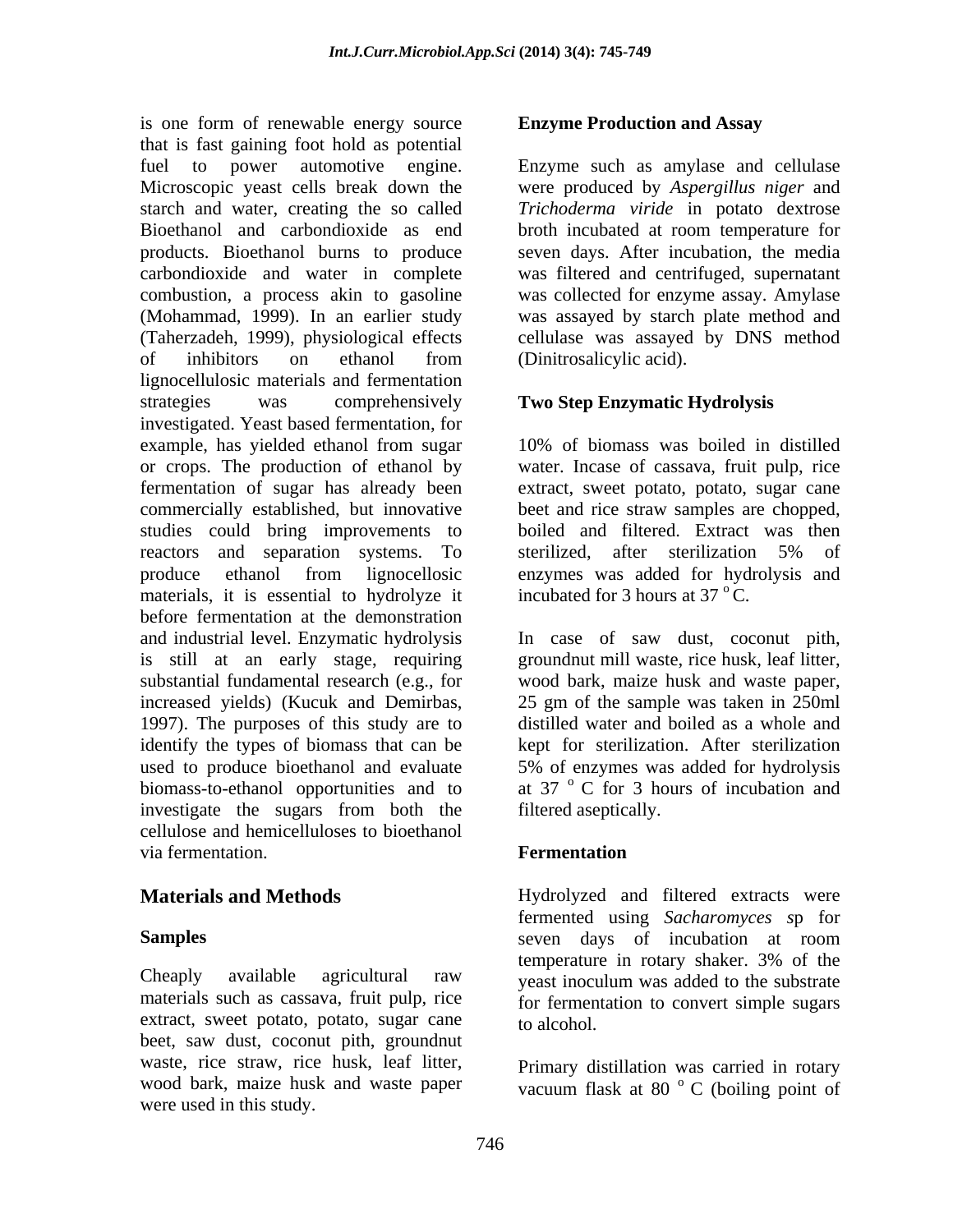is one form of renewable energy source that is fast gaining foot hold as potential fuel to power automotive engine. Enzyme such as amylase and cellulase Microscopic yeast cells break down the were produced by *Aspergillus niger* and starch and water, creating the so called Bioethanol and carbondioxide as end broth incubated at room temperature for products. Bioethanol burns to produce seven days. After incubation, the media carbondioxide and water in complete was filtered and centrifuged, supernatant combustion, a process akin to gasoline was collected for enzyme assay. Amylase (Mohammad, 1999). In an earlier study was assayed by starch plate method and (Taherzadeh, 1999), physiological effects cellulase was assayed by DNS method of inhibitors on ethanol from lignocellulosic materials and fermentation strategies was comprehensively **Two Step Enzymatic Hydrolysis** investigated. Yeast based fermentation, for example, has yielded ethanol from sugar 10% of biomass was boiled in distilled or crops. The production of ethanol by water. Incase of cassava, fruit pulp, rice fermentation of sugar has already been extract, sweet potato, potato, sugar cane commercially established, but innovative studies could bring improvements to reactors and separation systems. To sterilized, after sterilization 5% of produce ethanol from lignocellosic enzymes was added for hydrolysis and materials, it is essential to hydrolyze it incubated for 3 hours at  $37^{\circ}$ C. before fermentation at the demonstration and industrial level. Enzymatic hydrolysis h case of saw dust, coconut pith, is still at an early stage, requiring groundnut mill waste, rice husk, leaf litter, substantial fundamental research (e.g., for wood bark, maize husk and waste paper, increased yields) (Kucuk and Demirbas, 25 gm of the sample was taken in 250ml 1997). The purposes of this study are to distilled water and boiled as a whole and identify the types of biomass that can be kept for sterilization. After sterilization used to produce bioethanol and evaluate 5% of enzymes was added for hydrolysis biomass-to-ethanol opportunities and to investigate the sugars from both the filtered aseptically. cellulose and hemicelluloses to bioethanol via fermentation. **Example 3** Fermentation

Cheaply available agricultural raw yeast inoculum was added to the substrate materials such as cassava, fruit pulp, rice extract, sweet potato, potato, sugar cane to alcohol. beet, saw dust, coconut pith, groundnut waste, rice straw, rice husk, leaf litter, wood bark, maize husk and waste paper vacuum flask at 80 °C (boiling point of were used in this study.

# **Enzyme Production and Assay**

*Trichoderma viride* in potato dextrose (Dinitrosalicylic acid).

beet and rice straw samples are chopped, boiled and filtered. Extract was then sterilized, after sterilization 5% of incubated for 3 hours at  $37 \degree$ C.

25 gm of the sample was taken in 250ml distilled water and boiled as a whole and 5% of enzymes was added for hydrolysis at 37 <sup>o</sup> C for 3 hours of incubation and filtered aseptically.

# **Fermentation**

**Materials and Methods** Hydrolyzed and filtered extracts were **Samples** seven days of incubation at room fermented using *Sacharomyces s*p for temperature in rotary shaker. 3% of the for fermentation to convert simple sugars to alcohol.

> Primary distillation was carried in rotary <sup>o</sup> C (boiling point of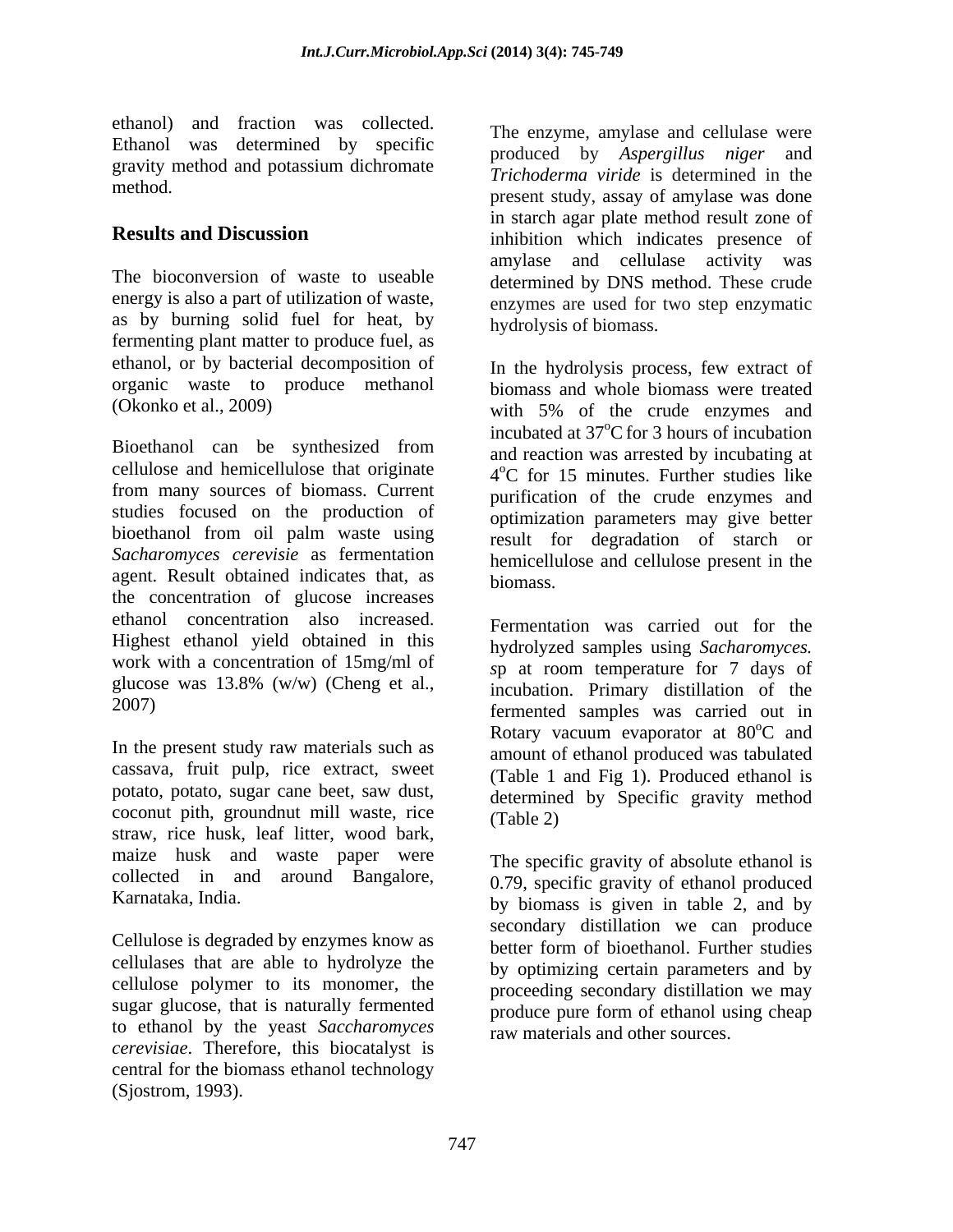ethanol) and fraction was collected. Ethanol was determined by specific gravity method and potassium dichromate

The bioconversion of waste to useable determined by DNS method. These crude energy is also a part of utilization of waste, as by burning solid fuel for heat, by fermenting plant matter to produce fuel, as ethanol, or by bacterial decomposition of organic waste to produce methanol<br>(Okonko et al., 2009)

Bioethanol can be synthesized from cellulose and hemicellulose that originate from many sources of biomass. Current studies focused on the production of bioethanol from oil palm waste using *Sacharomyces cerevisie* as fermentation agent. Result obtained indicates that, as biomass. the concentration of glucose increases ethanol concentration also increased. Highest ethanol yield obtained in this hydrolyzed samples using Sacharomyces. work with a concentration of 15mg/ml of sp at room temperature for 7 days of glucose was 13.8% (w/w) (Cheng et al.,

In the present study raw materials such as cassava, fruit pulp, rice extract, sweet potato, potato, sugar cane beet, saw dust, coconut pith, groundnut mill waste, rice (Table 2) straw, rice husk, leaf litter, wood bark, maize husk and waste paper were collected in and around Bangalore,

Cellulose is degraded by enzymes know as better form of bioethanol. Further studies cellulases that are able to hydrolyze the cellulose polymer to its monomer, the sugar glucose, that is naturally fermented to ethanol by the yeast *Saccharomyces cerevisiae*. Therefore, this biocatalyst is central for the biomass ethanol technology (Sjostrom, 1993).

method. The present study, assay of amylase was done **Results and Discussion** inhibition which indicates presence of The enzyme, amylase and cellulase were produced by *Aspergillus niger* and *Trichoderma viride* is determined in the in starch agar plate method result zone of amylase and cellulase activity was enzymes are used for two step enzymatic hydrolysis of biomass.

(Okonko et al., 2009) with 5% of the crude enzymes and In the hydrolysis process, few extract of biomass and whole biomass were treated incubated at  $37^{\circ}$ C for 3 hours of incubation and reaction was arrested by incubating at 4 oC for 15 minutes. Further studies like purification of the crude enzymes and optimization parameters may give better result for degradation of starch or hemicellulose and cellulose present in the biomass.

2007) fermented samples was carried out in Fermentation was carried out for the hydrolyzed samples using *Sacharomyces*.<br>*sp* at room temperature for 7 days of incubation. Primary distillation of the Rotary vacuum evaporator at 80°C and <sup>o</sup>C and amount of ethanol produced was tabulated (Table 1 and Fig 1). Produced ethanol is determined by Specific gravity method (Table 2)

Karnataka, India. by biomass is given in table 2, and by The specific gravity of absolute ethanol is 0.79, specific gravity of ethanol produced secondary distillation we can produce better form of bioethanol. Further studies by optimizing certain parameters and by proceeding secondary distillation we may produce pure form of ethanol using cheap raw materials and other sources.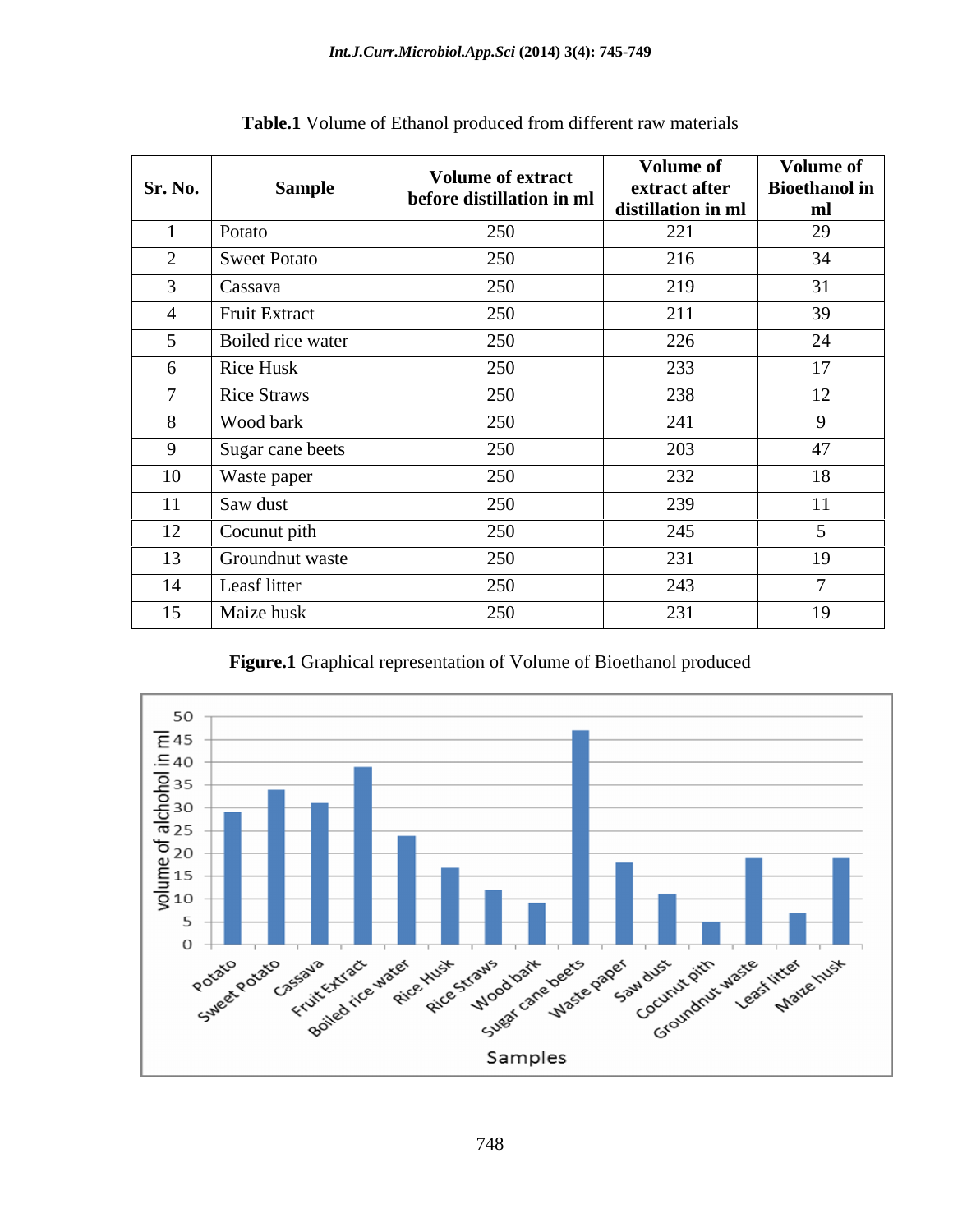| Sr. No.       | <b>Sample</b>       | <b>Volume of extract</b><br>before distillation in ml | <b>Volume of</b><br>extract after<br>distillation in ml | <b>Volume of</b><br><b>Bioethanol</b> in<br>ml |
|---------------|---------------------|-------------------------------------------------------|---------------------------------------------------------|------------------------------------------------|
|               | Potato              | 250                                                   | 221                                                     | 29                                             |
| $\sim$        | <b>Sweet Potato</b> | 250                                                   | 216                                                     | 34                                             |
| $\sim$        | Cassava             | 250                                                   | 219                                                     | 31                                             |
|               | Fruit Extract       | 250                                                   | 211                                                     | 39                                             |
| $\mathcal{D}$ | Boiled rice water   | 250                                                   | 226                                                     | 24                                             |
| 6             | Rice Husk           | 250                                                   | 233                                                     | 17                                             |
|               | <b>Rice Straws</b>  | 250                                                   | 238                                                     | 12                                             |
| 8             | Wood bark           | 250                                                   | 241                                                     | 9                                              |
| 9             | Sugar cane beets    | 250                                                   | 203                                                     | 47                                             |
| 10            | Waste paper         | 250                                                   | 232                                                     | 18                                             |
| 11            | Saw dust            | 250                                                   | 239                                                     | 11                                             |
| 12            | Cocunut pith        | 250                                                   | 245                                                     |                                                |
| 13            | Groundnut waste     | 250                                                   | 231                                                     | 19                                             |
| 14            | Leasf litter        | 250                                                   | 243                                                     |                                                |
| 15            | Maize husk          | 250                                                   | 231                                                     | 19                                             |

**Table.1** Volume of Ethanol produced from different raw materials

**Figure.1** Graphical representation of Volume of Bioethanol produced